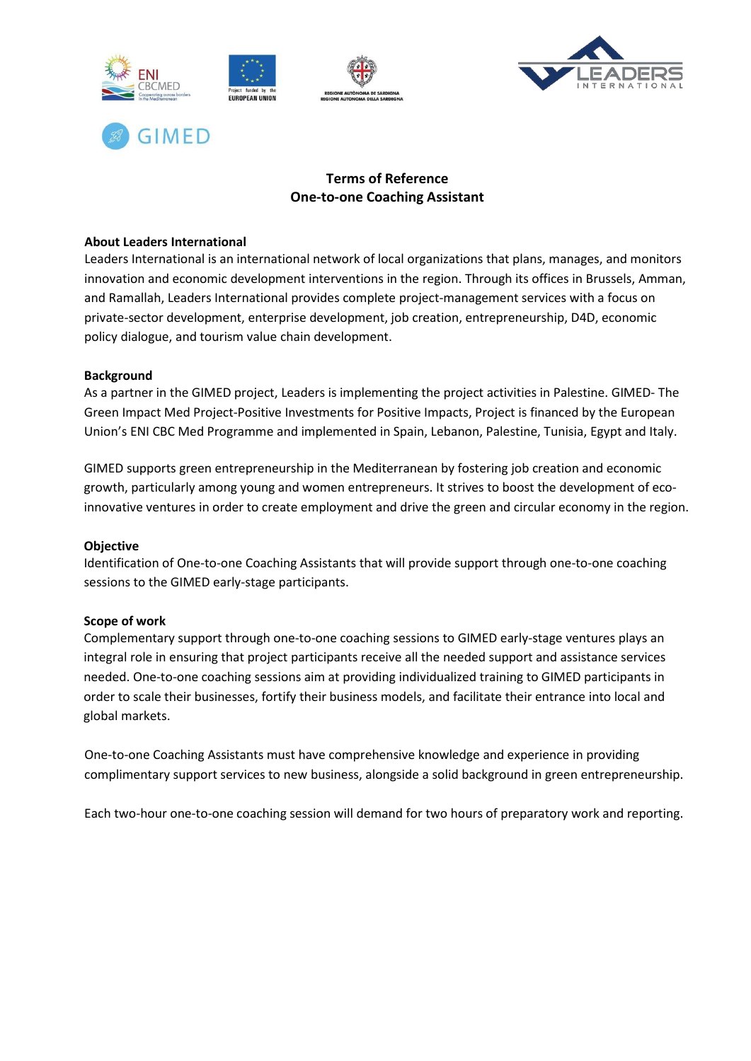



# **GIMED**

# **Terms of Reference One-to-one Coaching Assistant**

#### **About Leaders International**

Leaders International is an international network of local organizations that plans, manages, and monitors innovation and economic development interventions in the region. Through its offices in Brussels, Amman, and Ramallah, Leaders International provides complete project-management services with a focus on private-sector development, enterprise development, job creation, entrepreneurship, D4D, economic policy dialogue, and tourism value chain development.

### **Background**

As a partner in the GIMED project, Leaders is implementing the project activities in Palestine. GIMED- The Green Impact Med Project-Positive Investments for Positive Impacts, Project is financed by the European Union's ENI CBC Med Programme and implemented in Spain, Lebanon, Palestine, Tunisia, Egypt and Italy.

GIMED supports green entrepreneurship in the Mediterranean by fostering job creation and economic growth, particularly among young and women entrepreneurs. It strives to boost the development of ecoinnovative ventures in order to create employment and drive the green and circular economy in the region.

#### **Objective**

Identification of One-to-one Coaching Assistants that will provide support through one-to-one coaching sessions to the GIMED early-stage participants.

#### **Scope of work**

Complementary support through one-to-one coaching sessions to GIMED early-stage ventures plays an integral role in ensuring that project participants receive all the needed support and assistance services needed. One-to-one coaching sessions aim at providing individualized training to GIMED participants in order to scale their businesses, fortify their business models, and facilitate their entrance into local and global markets.

One-to-one Coaching Assistants must have comprehensive knowledge and experience in providing complimentary support services to new business, alongside a solid background in green entrepreneurship.

Each two-hour one-to-one coaching session will demand for two hours of preparatory work and reporting.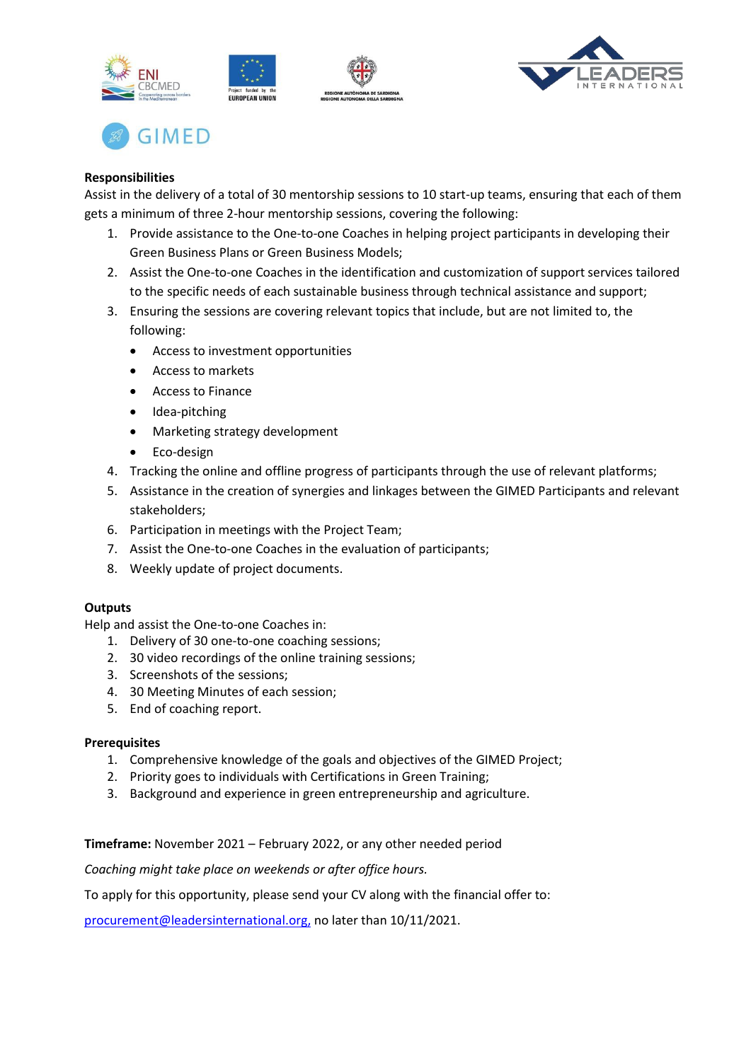





## **Responsibilities**

Assist in the delivery of a total of 30 mentorship sessions to 10 start-up teams, ensuring that each of them gets a minimum of three 2-hour mentorship sessions, covering the following:

- 1. Provide assistance to the One-to-one Coaches in helping project participants in developing their Green Business Plans or Green Business Models;
- 2. Assist the One-to-one Coaches in the identification and customization of support services tailored to the specific needs of each sustainable business through technical assistance and support;
- 3. Ensuring the sessions are covering relevant topics that include, but are not limited to, the following:
	- Access to investment opportunities
	- Access to markets
	- Access to Finance
	- Idea-pitching
	- Marketing strategy development
	- Eco-design
- 4. Tracking the online and offline progress of participants through the use of relevant platforms;
- 5. Assistance in the creation of synergies and linkages between the GIMED Participants and relevant stakeholders;
- 6. Participation in meetings with the Project Team;
- 7. Assist the One-to-one Coaches in the evaluation of participants;
- 8. Weekly update of project documents.

## **Outputs**

Help and assist the One-to-one Coaches in:

- 1. Delivery of 30 one-to-one coaching sessions;
- 2. 30 video recordings of the online training sessions;
- 3. Screenshots of the sessions;
- 4. 30 Meeting Minutes of each session;
- 5. End of coaching report.

#### **Prerequisites**

- 1. Comprehensive knowledge of the goals and objectives of the GIMED Project;
- 2. Priority goes to individuals with Certifications in Green Training;
- 3. Background and experience in green entrepreneurship and agriculture.

**Timeframe:** November 2021 – February 2022, or any other needed period

*Coaching might take place on weekends or after office hours.*

To apply for this opportunity, please send your CV along with the financial offer to:

procurement@leadersinternational.org, no later than 10/11/2021.